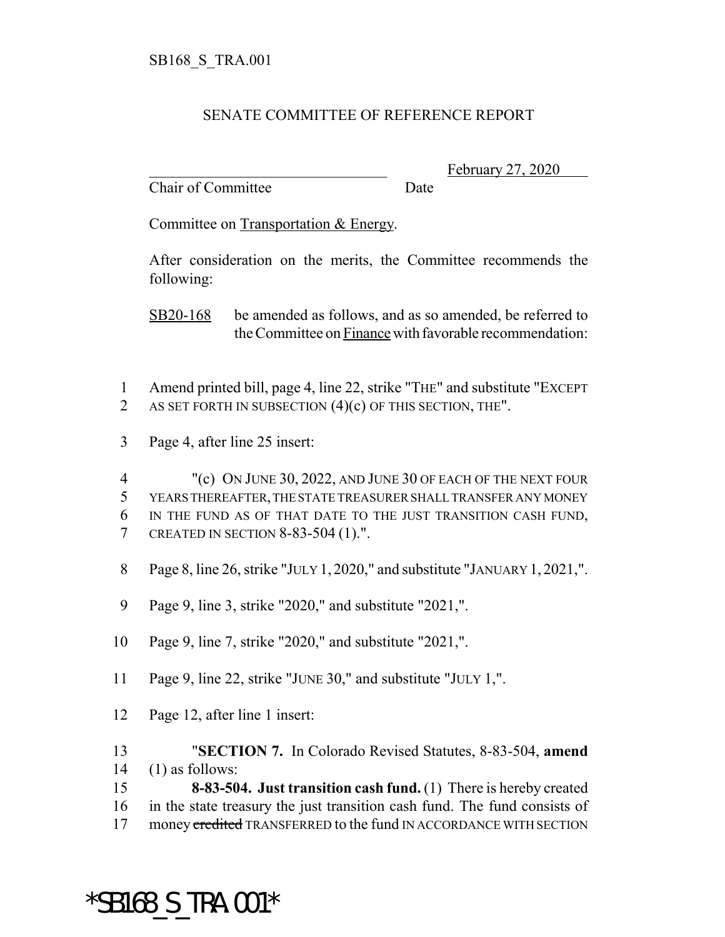## SENATE COMMITTEE OF REFERENCE REPORT

Chair of Committee Date

February 27, 2020

Committee on Transportation & Energy.

After consideration on the merits, the Committee recommends the following:

SB20-168 be amended as follows, and as so amended, be referred to the Committee on Finance with favorable recommendation:

- 1 Amend printed bill, page 4, line 22, strike "THE" and substitute "EXCEPT 2 AS SET FORTH IN SUBSECTION  $(4)(c)$  OF THIS SECTION, THE".
- 3 Page 4, after line 25 insert:

4 "(c) ON JUNE 30, 2022, AND JUNE 30 OF EACH OF THE NEXT FOUR YEARS THEREAFTER, THE STATE TREASURER SHALL TRANSFER ANY MONEY IN THE FUND AS OF THAT DATE TO THE JUST TRANSITION CASH FUND, CREATED IN SECTION 8-83-504 (1).".

- 8 Page 8, line 26, strike "JULY 1, 2020," and substitute "JANUARY 1, 2021,".
- 9 Page 9, line 3, strike "2020," and substitute "2021,".
- 10 Page 9, line 7, strike "2020," and substitute "2021,".
- 11 Page 9, line 22, strike "JUNE 30," and substitute "JULY 1,".
- 12 Page 12, after line 1 insert:
- 13 "**SECTION 7.** In Colorado Revised Statutes, 8-83-504, **amend** 14 (1) as follows:
- 15 **8-83-504. Just transition cash fund.** (1) There is hereby created 16 in the state treasury the just transition cash fund. The fund consists of 17 money credited TRANSFERRED to the fund IN ACCORDANCE WITH SECTION

\*SB168\_S\_TRA.001\*